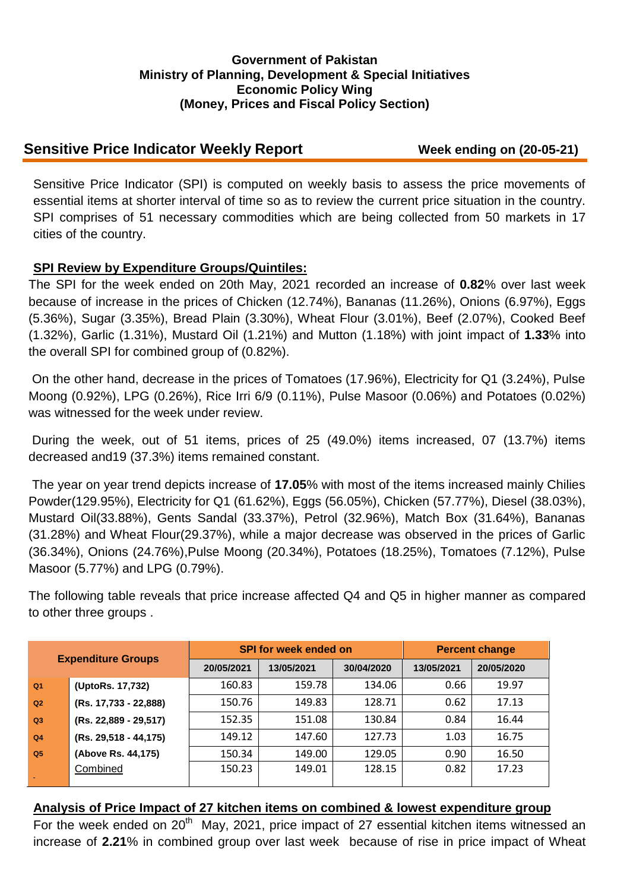### **Government of Pakistan Ministry of Planning, Development & Special Initiatives Economic Policy Wing (Money, Prices and Fiscal Policy Section)**

# **Sensitive Price Indicator Weekly Report Week ending on (20-05-21)**

Sensitive Price Indicator (SPI) is computed on weekly basis to assess the price movements of essential items at shorter interval of time so as to review the current price situation in the country. SPI comprises of 51 necessary commodities which are being collected from 50 markets in 17 cities of the country.

## **SPI Review by Expenditure Groups/Quintiles:**

The SPI for the week ended on 20th May, 2021 recorded an increase of **0.82**% over last week because of increase in the prices of Chicken (12.74%), Bananas (11.26%), Onions (6.97%), Eggs (5.36%), Sugar (3.35%), Bread Plain (3.30%), Wheat Flour (3.01%), Beef (2.07%), Cooked Beef (1.32%), Garlic (1.31%), Mustard Oil (1.21%) and Mutton (1.18%) with joint impact of **1.33**% into the overall SPI for combined group of (0.82%).

On the other hand, decrease in the prices of Tomatoes (17.96%), Electricity for Q1 (3.24%), Pulse Moong (0.92%), LPG (0.26%), Rice Irri 6/9 (0.11%), Pulse Masoor (0.06%) and Potatoes (0.02%) was witnessed for the week under review.

During the week, out of 51 items, prices of 25 (49.0%) items increased, 07 (13.7%) items decreased and19 (37.3%) items remained constant.

The year on year trend depicts increase of **17.05**% with most of the items increased mainly Chilies Powder(129.95%), Electricity for Q1 (61.62%), Eggs (56.05%), Chicken (57.77%), Diesel (38.03%), Mustard Oil(33.88%), Gents Sandal (33.37%), Petrol (32.96%), Match Box (31.64%), Bananas (31.28%) and Wheat Flour(29.37%), while a major decrease was observed in the prices of Garlic (36.34%), Onions (24.76%),Pulse Moong (20.34%), Potatoes (18.25%), Tomatoes (7.12%), Pulse Masoor (5.77%) and LPG (0.79%).

The following table reveals that price increase affected Q4 and Q5 in higher manner as compared to other three groups .

| <b>Expenditure Groups</b> |                       |            | <b>SPI for week ended on</b> | <b>Percent change</b> |            |            |
|---------------------------|-----------------------|------------|------------------------------|-----------------------|------------|------------|
|                           |                       | 20/05/2021 | 13/05/2021                   | 30/04/2020            | 13/05/2021 | 20/05/2020 |
| Q <sub>1</sub>            | (UptoRs. 17,732)      | 160.83     | 159.78                       | 134.06                | 0.66       | 19.97      |
| Q2                        | (Rs. 17,733 - 22,888) | 150.76     | 149.83                       | 128.71                | 0.62       | 17.13      |
| Q <sub>3</sub>            | (Rs. 22,889 - 29,517) | 152.35     | 151.08                       | 130.84                | 0.84       | 16.44      |
| Q <sub>4</sub>            | (Rs. 29,518 - 44,175) | 149.12     | 147.60                       | 127.73                | 1.03       | 16.75      |
| Q <sub>5</sub>            | (Above Rs. 44,175)    | 150.34     | 149.00                       | 129.05                | 0.90       | 16.50      |
|                           | Combined              | 150.23     | 149.01                       | 128.15                | 0.82       | 17.23      |

#### **Analysis of Price Impact of 27 kitchen items on combined & lowest expenditure group**

For the week ended on  $20<sup>th</sup>$  May, 2021, price impact of 27 essential kitchen items witnessed an increase of **2.21**% in combined group over last week because of rise in price impact of Wheat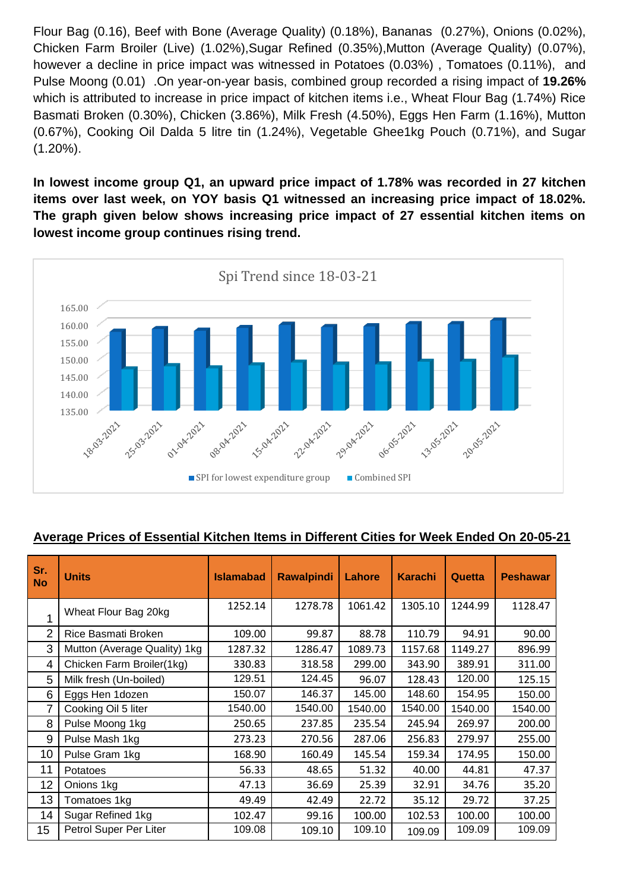Flour Bag (0.16), Beef with Bone (Average Quality) (0.18%), Bananas (0.27%), Onions (0.02%), Chicken Farm Broiler (Live) (1.02%),Sugar Refined (0.35%),Mutton (Average Quality) (0.07%), however a decline in price impact was witnessed in Potatoes (0.03%) , Tomatoes (0.11%), and Pulse Moong (0.01) .On year-on-year basis, combined group recorded a rising impact of **19.26%**  which is attributed to increase in price impact of kitchen items i.e., Wheat Flour Bag (1.74%) Rice Basmati Broken (0.30%), Chicken (3.86%), Milk Fresh (4.50%), Eggs Hen Farm (1.16%), Mutton (0.67%), Cooking Oil Dalda 5 litre tin (1.24%), Vegetable Ghee1kg Pouch (0.71%), and Sugar (1.20%).

**In lowest income group Q1, an upward price impact of 1.78% was recorded in 27 kitchen items over last week, on YOY basis Q1 witnessed an increasing price impact of 18.02%. The graph given below shows increasing price impact of 27 essential kitchen items on lowest income group continues rising trend.**



## **Average Prices of Essential Kitchen Items in Different Cities for Week Ended On 20-05-21**

| Sr.<br><b>No</b> | <b>Units</b>                 | <b>Islamabad</b> | <b>Rawalpindi</b> | Lahore  | <b>Karachi</b> | Quetta  | <b>Peshawar</b> |
|------------------|------------------------------|------------------|-------------------|---------|----------------|---------|-----------------|
| 1                | Wheat Flour Bag 20kg         | 1252.14          | 1278.78           | 1061.42 | 1305.10        | 1244.99 | 1128.47         |
| $\mathcal{P}$    | Rice Basmati Broken          | 109.00           | 99.87             | 88.78   | 110.79         | 94.91   | 90.00           |
| 3                | Mutton (Average Quality) 1kg | 1287.32          | 1286.47           | 1089.73 | 1157.68        | 1149.27 | 896.99          |
| 4                | Chicken Farm Broiler(1kg)    | 330.83           | 318.58            | 299.00  | 343.90         | 389.91  | 311.00          |
| 5                | Milk fresh (Un-boiled)       | 129.51           | 124.45            | 96.07   | 128.43         | 120.00  | 125.15          |
| 6                | Eggs Hen 1dozen              | 150.07           | 146.37            | 145.00  | 148.60         | 154.95  | 150.00          |
| 7                | Cooking Oil 5 liter          | 1540.00          | 1540.00           | 1540.00 | 1540.00        | 1540.00 | 1540.00         |
| 8                | Pulse Moong 1kg              | 250.65           | 237.85            | 235.54  | 245.94         | 269.97  | 200.00          |
| 9                | Pulse Mash 1kg               | 273.23           | 270.56            | 287.06  | 256.83         | 279.97  | 255.00          |
| 10               | Pulse Gram 1kg               | 168.90           | 160.49            | 145.54  | 159.34         | 174.95  | 150.00          |
| 11               | Potatoes                     | 56.33            | 48.65             | 51.32   | 40.00          | 44.81   | 47.37           |
| 12               | Onions 1kg                   | 47.13            | 36.69             | 25.39   | 32.91          | 34.76   | 35.20           |
| 13               | Tomatoes 1kg                 | 49.49            | 42.49             | 22.72   | 35.12          | 29.72   | 37.25           |
| 14               | Sugar Refined 1kg            | 102.47           | 99.16             | 100.00  | 102.53         | 100.00  | 100.00          |
| 15               | Petrol Super Per Liter       | 109.08           | 109.10            | 109.10  | 109.09         | 109.09  | 109.09          |